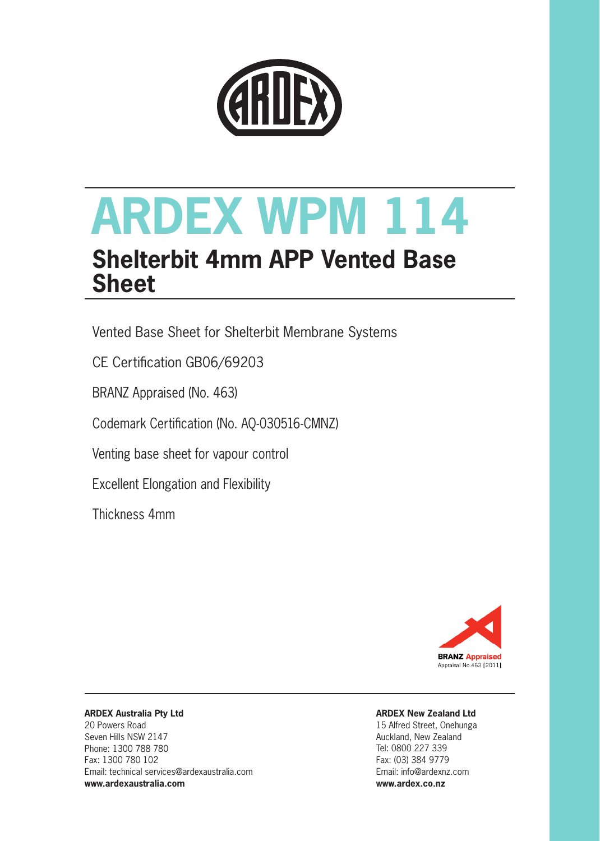

# **ARDEX WPM 114**

# **Shelterbit 4mm APP Vented Base Sheet**

Vented Base Sheet for Shelterbit Membrane Systems

CE Certification GB06/69203

BRANZ Appraised (No. 463)

Codemark Certification (No. AQ-030516-CMNZ)

Venting base sheet for vapour control

Excellent Elongation and Flexibility

Thickness 4mm



#### **ARDEX Australia Pty Ltd**

20 Powers Road Seven Hills NSW 2147 Phone: 1300 788 780 Fax: 1300 780 102 Email: technical services@ardexaustralia.com **www.ardexaustralia.com**

### **ARDEX New Zealand Ltd**

15 Alfred Street, Onehunga Auckland, New Zealand Tel: 0800 227 339 Fax: (03) 384 9779 Email: info@ardexnz.com **www.ardex.co.nz**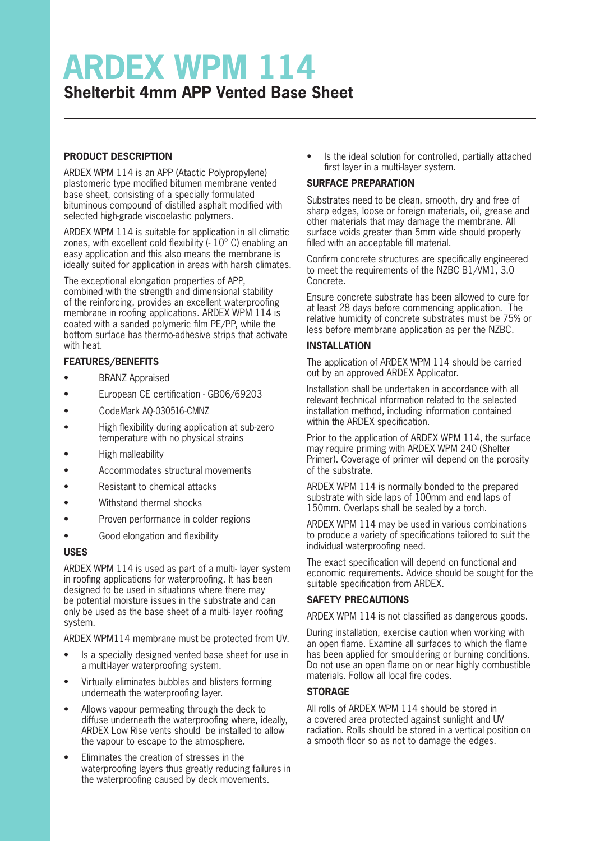# **ARDEX WPM 114 Shelterbit 4mm APP Vented Base Sheet**

#### **PRODUCT DESCRIPTION**

ARDEX WPM 114 is an APP (Atactic Polypropylene) plastomeric type modified bitumen membrane vented base sheet, consisting of a specially formulated bituminous compound of distilled asphalt modified with selected high-grade viscoelastic polymers.

ARDEX WPM 114 is suitable for application in all climatic zones, with excellent cold flexibility (- 10° C) enabling an easy application and this also means the membrane is ideally suited for application in areas with harsh climates.

The exceptional elongation properties of APP, combined with the strength and dimensional stability of the reinforcing, provides an excellent waterproofing membrane in roofing applications. ARDEX WPM 114 is coated with a sanded polymeric film PE/PP, while the bottom surface has thermo-adhesive strips that activate with heat.

#### **FEATURES/BENEFITS**

- BRANZ Appraised
- European CE certification GB06/69203
- CodeMark AQ-030516-CMNZ
- High flexibility during application at sub-zero temperature with no physical strains
- High malleability
- Accommodates structural movements
- Resistant to chemical attacks
- Withstand thermal shocks
- Proven performance in colder regions
- Good elongation and flexibility

#### **USES**

ARDEX WPM 114 is used as part of a multi- layer system in roofing applications for waterproofing. It has been designed to be used in situations where there may be potential moisture issues in the substrate and can only be used as the base sheet of a multi- layer roofing system.

ARDEX WPM114 membrane must be protected from UV.

- Is a specially designed vented base sheet for use in a multi-layer waterproofing system.
- Virtually eliminates bubbles and blisters forming underneath the waterproofing layer.
- Allows vapour permeating through the deck to diffuse underneath the waterproofing where, ideally, ARDEX Low Rise vents should be installed to allow the vapour to escape to the atmosphere.
- Eliminates the creation of stresses in the waterproofing layers thus greatly reducing failures in the waterproofing caused by deck movements.

• Is the ideal solution for controlled, partially attached first layer in a multi-layer system.

#### **SURFACE PREPARATION**

Substrates need to be clean, smooth, dry and free of sharp edges, loose or foreign materials, oil, grease and other materials that may damage the membrane. All surface voids greater than 5mm wide should properly filled with an acceptable fill material.

Confirm concrete structures are specifically engineered to meet the requirements of the NZBC B1/VM1, 3.0 Concrete.

Ensure concrete substrate has been allowed to cure for at least 28 days before commencing application. The relative humidity of concrete substrates must be 75% or less before membrane application as per the NZBC.

#### **INSTALLATION**

The application of ARDEX WPM 114 should be carried out by an approved ARDEX Applicator.

Installation shall be undertaken in accordance with all relevant technical information related to the selected installation method, including information contained within the ARDEX specification.

Prior to the application of ARDEX WPM 114, the surface may require priming with ARDEX WPM 240 (Shelter Primer). Coverage of primer will depend on the porosity of the substrate.

ARDEX WPM 114 is normally bonded to the prepared substrate with side laps of 100mm and end laps of 150mm. Overlaps shall be sealed by a torch.

ARDEX WPM 114 may be used in various combinations to produce a variety of specifications tailored to suit the individual waterproofing need.

The exact specification will depend on functional and economic requirements. Advice should be sought for the suitable specification from ARDEX.

#### **SAFETY PRECAUTIONS**

ARDEX WPM 114 is not classified as dangerous goods.

During installation, exercise caution when working with an open flame. Examine all surfaces to which the flame has been applied for smouldering or burning conditions. Do not use an open flame on or near highly combustible materials. Follow all local fire codes.

#### **STORAGE**

All rolls of ARDEX WPM 114 should be stored in a covered area protected against sunlight and UV radiation. Rolls should be stored in a vertical position on a smooth floor so as not to damage the edges.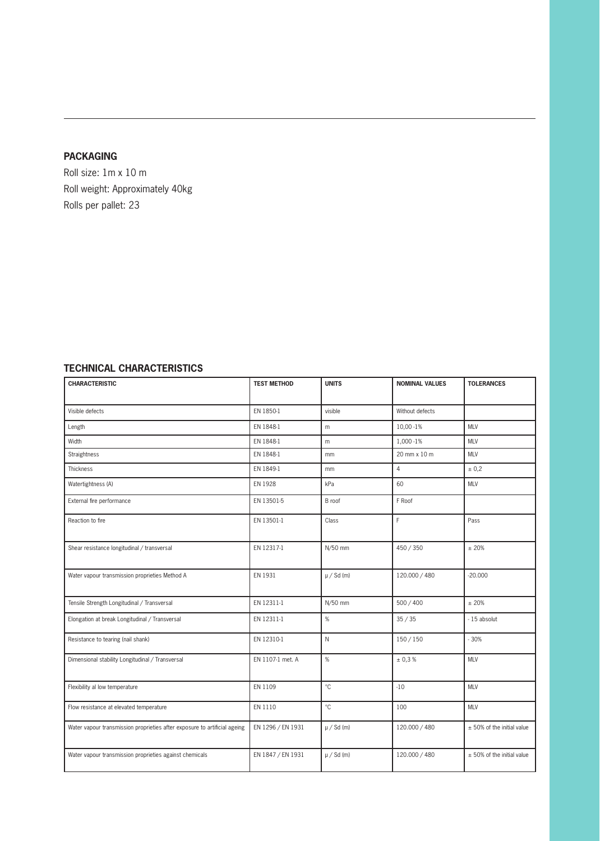#### **PACKAGING**

Roll size: 1m x 10 m Roll weight: Approximately 40kg Rolls per pallet: 23

## **TECHNICAL CHARACTERISTICS**

| <b>CHARACTERISTIC</b>                                                     | <b>TEST METHOD</b> | <b>UNITS</b>   | <b>NOMINAL VALUES</b> | <b>TOLERANCES</b>            |
|---------------------------------------------------------------------------|--------------------|----------------|-----------------------|------------------------------|
|                                                                           |                    |                |                       |                              |
| Visible defects                                                           | EN 1850-1          | visible        | Without defects       |                              |
| Length                                                                    | EN 1848-1          | m              | 10,00 - 1%            | <b>MLV</b>                   |
| Width                                                                     | EN 1848-1          | m              | 1,000 - 1%            | <b>MLV</b>                   |
| <b>Straightness</b>                                                       | EN 1848-1          | mm             | 20 mm x 10 m          | <b>MLV</b>                   |
| Thickness                                                                 | EN 1849-1          | mm             | $\overline{4}$        | ± 0,2                        |
| Watertightness (A)                                                        | EN 1928            | kPa            | 60                    | <b>MLV</b>                   |
| External fire performance                                                 | EN 13501-5         | B roof         | F Roof                |                              |
| Reaction to fire                                                          | EN 13501-1         | Class          | F                     | Pass                         |
| Shear resistance longitudinal / transversal                               | EN 12317-1         | N/50 mm        | 450 / 350             | ± 20%                        |
| Water vapour transmission proprieties Method A                            | EN 1931            | $\mu$ / Sd (m) | 120.000 / 480         | $-20.000$                    |
| Tensile Strength Longitudinal / Transversal                               | EN 12311-1         | N/50 mm        | 500 / 400             | ±20%                         |
| Elongation at break Longitudinal / Transversal                            | EN 12311-1         | %              | 35 / 35               | - 15 absolut                 |
| Resistance to tearing (nail shank)                                        | EN 12310-1         | $\mathsf{N}$   | 150/150               | $-30%$                       |
| Dimensional stability Longitudinal / Transversal                          | EN 1107-1 met. A   | %              | ± 0,3%                | <b>MLV</b>                   |
| Flexibility al low temperature                                            | EN 1109            | °C             | $-10$                 | <b>MLV</b>                   |
| Flow resistance at elevated temperature                                   | EN 1110            | $^{\circ}$ C   | 100                   | <b>MLV</b>                   |
| Water vapour transmission proprieties after exposure to artificial ageing | EN 1296 / EN 1931  | $\mu$ / Sd (m) | 120.000 / 480         | $±$ 50% of the initial value |
| Water vapour transmission proprieties against chemicals                   | EN 1847 / EN 1931  | $\mu$ / Sd (m) | 120.000 / 480         | $±$ 50% of the initial value |